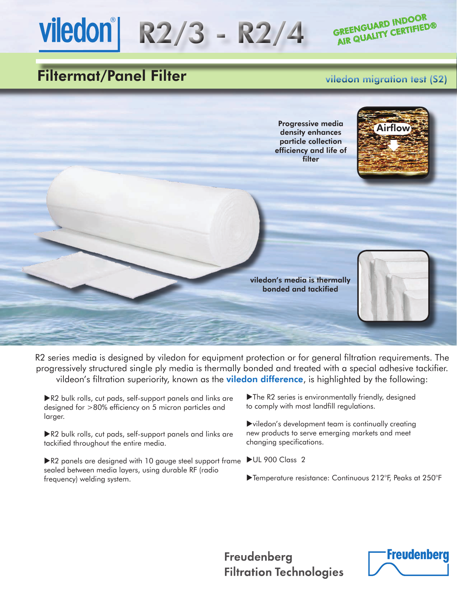# **viledon** R2/3 - R2/4

# Filtermat/Panel Filter

#### viledon migration test (S2)

GREENGUARD INDOOR AIR QUALITY CERTIFIED®



R2 series media is designed by viledon for equipment protection or for general filtration requirements. The progressively structured single ply media is thermally bonded and treated with a special adhesive tackifier. vildeon's filtration superiority, known as the **viledon difference**, is highlighted by the following:

- ▶R2 bulk rolls, cut pads, self-support panels and links are designed for >80% efficiency on 5 micron particles and larger.
- R2 bulk rolls, cut pads, self-support panels and links are tackified throughout the entire media.
- R2 panels are designed with 10 gauge steel support frame sealed between media layers, using durable RF (radio frequency) welding system.
- The R2 series is environmentally friendly, designed to comply with most landfill regulations.
- viledon's development team is continually creating new products to serve emerging markets and meet changing specifications.
- UL 900 Class 2
- Temperature resistance: Continuous 212°F, Peaks at 250°F

Freudenberg **Filtration Technologies**